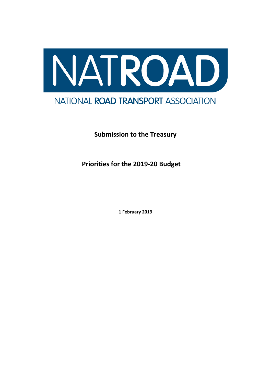

**Submission to the Treasury**

**Priorities for the 2019-20 Budget**

**1 February 2019**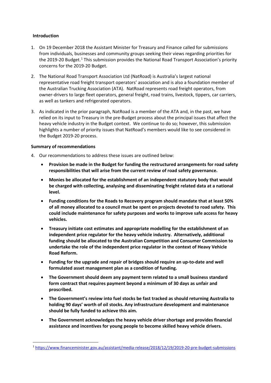# **Introduction**

- 1. On 19 December 2018 the Assistant Minister for Treasury and Finance called for submissions from individuals, businesses and community groups seeking their views regarding priorities for the 20[1](#page-1-0)9-20 Budget.<sup>1</sup> This submission provides the National Road Transport Association's priority concerns for the 2019-20 Budget.
- 2. The National Road Transport Association Ltd (NatRoad) is Australia's largest national representative road freight transport operators' association and is also a foundation member of the Australian Trucking Association (ATA). NatRoad represents road freight operators, from owner-drivers to large fleet operators, general freight, road trains, livestock, tippers, car carriers, as well as tankers and refrigerated operators.
- 3. As indicated in the prior paragraph, NatRoad is a member of the ATA and, in the past, we have relied on its input to Treasury in the pre-Budget process about the principal issues that affect the heavy vehicle industry in the Budget context. We continue to do so; however, this submission highlights a number of priority issues that NatRoad's members would like to see considered in the Budget 2019-20 process.

# **Summary of recommendations**

- 4. Our recommendations to address these issues are outlined below:
	- **Provision be made in the Budget for funding the restructured arrangements for road safety responsibilities that will arise from the current review of road safety governance.**
	- **Monies be allocated for the establishment of an independent statutory body that would be charged with collecting, analysing and disseminating freight related data at a national level.**
	- **Funding conditions for the Roads to Recovery program should mandate that at least 50% of all money allocated to a council must be spent on projects devoted to road safety. This could include maintenance for safety purposes and works to improve safe access for heavy vehicles.**
	- **Treasury initiate cost estimates and appropriate modelling for the establishment of an independent price regulator for the heavy vehicle industry. Alternatively, additional funding should be allocated to the Australian Competition and Consumer Commission to undertake the role of the independent price regulator in the context of Heavy Vehicle Road Reform.**
	- **Funding for the upgrade and repair of bridges should require an up-to-date and well formulated asset management plan as a condition of funding.**
	- **The Government should deem any payment term related to a small business standard form contract that requires payment beyond a minimum of 30 days as unfair and proscribed.**
	- **The Government's review into fuel stocks be fast tracked as should returning Australia to holding 90 days' worth of oil stocks. Any infrastructure development and maintenance should be fully funded to achieve this aim.**
	- **The Government acknowledges the heavy vehicle driver shortage and provides financial assistance and incentives for young people to become skilled heavy vehicle drivers.**

<span id="page-1-0"></span> <sup>1</sup> <https://www.financeminister.gov.au/assistant/media-release/2018/12/19/2019-20-pre-budget-submissions>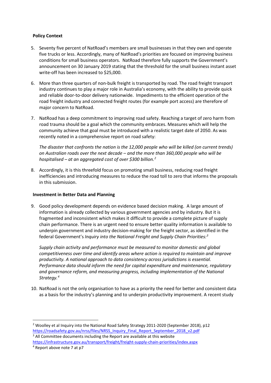# **Policy Context**

- 5. Seventy five percent of NatRoad's members are small businesses in that they own and operate five trucks or less. Accordingly, many of NatRoad's priorities are focused on improving business conditions for small business operators. NatRoad therefore fully supports the Government's announcement on 30 January 2019 stating that the threshold for the small business instant asset write-off has been increased to \$25,000.
- 6. More than three quarters of non-bulk freight is transported by road. The road freight transport industry continues to play a major role in Australia's economy, with the ability to provide quick and reliable door-to-door delivery nationwide. Impediments to the efficient operation of the road freight industry and connected freight routes (for example port access) are therefore of major concern to NatRoad.
- 7. NatRoad has a deep commitment to improving road safety. Reaching a target of zero harm from road trauma should be a goal which the community embraces. Measures which will help the community achieve that goal must be introduced with a realistic target date of 2050. As was recently noted in a comprehensive report on road safety:

*The disaster that confronts the nation is the 12,000 people who will be killed (on current trends) on Australian roads over the next decade – and the more than 360,000 people who will be hospitalised – at an aggregated cost of over \$300 billion.[2](#page-2-0)*

8. Accordingly, it is this threefold focus on promoting small business, reducing road freight inefficiencies and introducing measures to reduce the road toll to zero that informs the proposals in this submission.

### **Investment in Better Data and Planning**

9. Good policy development depends on evidence based decision making. A large amount of information is already collected by various government agencies and by industry. But it is fragmented and inconsistent which makes it difficult to provide a complete picture of supply chain performance. There is an urgent need to ensure better quality information is available to underpin government and industry decision-making for the freight sector, as identified in the federal Government's *Inquiry into the National Freight and Supply Chain Priorities: [3](#page-2-1)*

*Supply chain activity and performance must be measured to monitor domestic and global competitiveness over time and identify areas where action is required to maintain and improve productivity. A national approach to data consistency across jurisdictions is essential. Performance data should inform the need for capital expenditure and maintenance, regulatory and governance reform, and measuring progress, including implementation of the National Strategy.[4](#page-2-2)*

10. NatRoad is not the only organisation to have as a priority the need for better and consistent data as a basis for the industry's planning and to underpin productivity improvement. A recent study

<span id="page-2-2"></span><span id="page-2-1"></span><https://infrastructure.gov.au/transport/freight/freight-supply-chain-priorities/index.aspx>

<span id="page-2-0"></span><sup>&</sup>lt;sup>2</sup> Woolley et al Inquiry into the National Road Safety Strategy 2011-2020 (September 2018), p12 [https://roadsafety.gov.au/nrss/files/NRSS\\_Inquiry\\_Final\\_Report\\_September\\_2018\\_v2.pdf](https://roadsafety.gov.au/nrss/files/NRSS_Inquiry_Final_Report_September_2018_v2.pdf) <sup>3</sup> All Committee documents including the Report are available at this website

<sup>4</sup> Report above note 7 at p7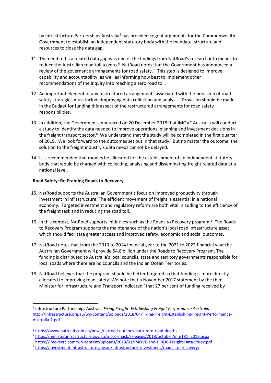by Infrastructure Partnerships Australia<sup>[5](#page-3-0)</sup> has provided cogent arguments for the Commonwealth Government to establish an independent statutory body with the mandate, structure and resources to close the data gap.

- 11. The need to fill a related data gap was one of the findings from NatRoad's research into means to reduce the Australian road toll to zero.<sup>[6](#page-3-1)</sup> NatRoad notes that the Government has announced a review of the governance arrangements for road safety.<sup>[7](#page-3-2)</sup> This step is designed to improve capability and accountability, as well as informing how best to implement other recommendations of the inquiry into reaching a zero road toll.
- 12. An important element of any restructured arrangements associated with the provision of road safety strategies must include improving data collection and analysis. Provision should be made in the Budget for funding this aspect of the restructured arrangements for road safety responsibilities.
- 13. In addition, the Government announced on 20 December 2018 that iMOVE Australia will conduct a study to identify the data needed to improve operations, planning and investment decisions in the freight transport sector.<sup>[8](#page-3-3)</sup> We understand that the study will be completed in the first quarter of 2019. We look forward to the outcomes set out in that study. But no matter the outcome, the solution to the freight industry's data needs cannot be delayed.
- 14. It is recommended that monies be allocated for the establishment of an independent statutory body that would be charged with collecting, analysing and disseminating freight related data at a national level.

# **Road Safety: Re-Framing Roads to Recovery**

- 15. NatRoad supports the Australian Government's focus on improved productivity through investment in infrastructure. The efficient movement of freight is essential in a national economy. Targeted investment and regulatory reform are both vital in adding to the efficiency of the freight task and in reducing the road toll.
- 16. In this context, NatRoad supports initiatives such as the Roads to Recovery program.<sup>[9](#page-3-4)</sup> The Roads to Recovery Program supports the maintenance of the nation's local road infrastructure asset, which should facilitate greater access and improved safety, economic and social outcomes.
- 17. NatRoad notes that from the 2013 to 2014 financial year to the 2021 to 2022 financial year the Australian Government will provide \$4.8 billion under the Roads to Recovery Program. The funding is distributed to Australia's local councils, state and territory governments responsible for local roads where there are no councils and the Indian Ocean Territories.
- 18. NatRoad believes that the program should be better targeted so that funding is more directly allocated to improving road safety. We note that a November 2017 statement by the then Minister for Infrastructure and Transport indicated "that 27 per cent of funding received by

<span id="page-3-0"></span> <sup>5</sup> Infrastructure Partnerships Australia *Fixing Freight: Establishing Freight Performance Australia*  [http://infrastructure.org.au/wp-content/uploads/2018/04/Fixing-Freight-Establishing-Freight-Performance-](http://infrastructure.org.au/wp-content/uploads/2018/04/Fixing-Freight-Establishing-Freight-Performance-Australia-1.pdf)[Australia-1.pdf](http://infrastructure.org.au/wp-content/uploads/2018/04/Fixing-Freight-Establishing-Freight-Performance-Australia-1.pdf)

<span id="page-3-1"></span><sup>6</sup> <https://www.natroad.com.au/news/natroad-outlines-path-zero-road-deaths>

<span id="page-3-2"></span><sup>7</sup> [https://minister.infrastructure.gov.au/mccormack/releases/2018/october/mm181\\_2018.aspx](https://minister.infrastructure.gov.au/mccormack/releases/2018/october/mm181_2018.aspx)

<span id="page-3-3"></span><sup>8</sup> <https://imovecrc.com/wp-content/uploads/2019/01/IMOVE-and-DIRDC-Freight-Data-Study.pdf>

<span id="page-3-4"></span><sup>&</sup>lt;sup>9</sup> [https://investment.infrastructure.gov.au/infrastructure\\_investment/roads\\_to\\_recovery/](https://investment.infrastructure.gov.au/infrastructure_investment/roads_to_recovery/)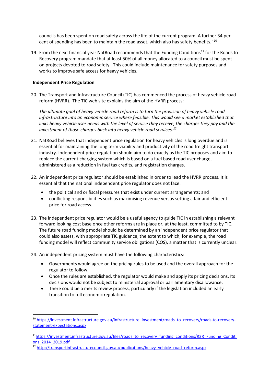councils has been spent on road safety across the life of the current program. A further 34 per cent of spending has been to maintain the road asset, which also has safety benefits."<sup>[10](#page-4-0)</sup>

19. From the next financial year NatRoad recommends that the Funding Conditions<sup>11</sup> for the Roads to Recovery program mandate that at least 50% of all money allocated to a council must be spent on projects devoted to road safety. This could include maintenance for safety purposes and works to improve safe access for heavy vehicles.

#### **Independent Price Regulation**

20. The Transport and Infrastructure Council (TIC) has commenced the process of heavy vehicle road reform (HVRR). The TIC web site explains the aim of the HVRR process:

*The ultimate goal of heavy vehicle road reform is to turn the provision of heavy vehicle road infrastructure into an economic service where feasible. This would see a market established that links heavy vehicle user needs with the level of service they receive, the charges they pay and the investment of those charges back into heavy vehicle road services.[12](#page-4-2)*

- 21. NatRoad believes that independent price regulation for heavy vehicles is long overdue and is essential for maintaining the long term viability and productivity of the road freight transport industry. Independent price regulation should aim to do exactly as the TIC proposes and aim to replace the current charging system which is based on a fuel based road user charge, administered as a reduction in fuel tax credits, and registration charges.
- 22. An independent price regulator should be established in order to lead the HVRR process. It is essential that the national independent price regulator does not face:
	- the political and or fiscal pressures that exist under current arrangements; and
	- conflicting responsibilities such as maximising revenue versus setting a fair and efficient price for road access.
- 23. The independent price regulator would be a useful agency to guide TIC in establishing a relevant forward looking cost base once other reforms are in place or, at the least, committed to by TIC. The future road funding model should be determined by an independent price regulator that could also assess, with appropriate TIC guidance, the extent to which, for example, the road funding model will reflect community service obligations (COS), a matter that is currently unclear.

24. An independent pricing system must have the following characteristics:

- Governments would agree on the pricing rules to be used and the overall approach for the regulator to follow.
- Once the rules are established, the regulator would make and apply its pricing decisions. Its decisions would not be subject to ministerial approval or parliamentary disallowance.
- There could be a merits review process, particularly if the legislation included an early transition to full economic regulation.

<span id="page-4-0"></span><sup>&</sup>lt;sup>10</sup> [https://investment.infrastructure.gov.au/infrastructure\\_investment/roads\\_to\\_recovery/roads-to-recovery](https://investment.infrastructure.gov.au/infrastructure_investment/roads_to_recovery/roads-to-recovery-statement-expectations.aspx)[statement-expectations.aspx](https://investment.infrastructure.gov.au/infrastructure_investment/roads_to_recovery/roads-to-recovery-statement-expectations.aspx)

<span id="page-4-1"></span><sup>&</sup>lt;sup>11</sup>https://investment.infrastructure.gov.au/files/roads\_to\_recovery\_funding\_conditions/R2R\_Funding\_Conditi [ons\\_2014\\_2019.pdf](https://investment.infrastructure.gov.au/files/roads_to_recovery_funding_conditions/R2R_Funding_Conditions_2014_2019.pdf)

<span id="page-4-2"></span><sup>12</sup> [http://transportinfrastructurecouncil.gov.au/publications/heavy\\_vehicle\\_road\\_reform.aspx](http://transportinfrastructurecouncil.gov.au/publications/heavy_vehicle_road_reform.aspx)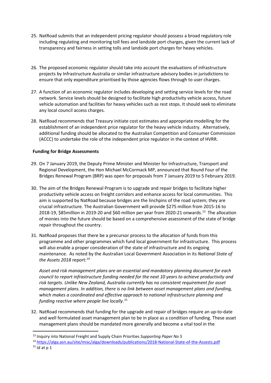- 25. NatRoad submits that an independent pricing regulator should possess a broad regulatory role including regulating and monitoring toll fees and landside port charges, given the current lack of transparency and fairness in setting tolls and landside port charges for heavy vehicles.
- 26. The proposed economic regulator should take into account the evaluations of infrastructure projects by Infrastructure Australia or similar infrastructure advisory bodies in jurisdictions to ensure that only expenditure prioritised by those agencies flows through to user charges.
- 27. A function of an economic regulator includes developing and setting service levels for the road network. Service levels should be designed to facilitate high productivity vehicle access, future vehicle automation and facilities for heavy vehicles such as rest stops. It should seek to eliminate any local council access charges.
- 28. NatRoad recommends that Treasury initiate cost estimates and appropriate modelling for the establishment of an independent price regulator for the heavy vehicle industry. Alternatively, additional funding should be allocated to the Australian Competition and Consumer Commission (ACCC) to undertake the role of the independent price regulator in the context of HVRR.

# **Funding for Bridge Assessments**

- 29. On 7 January 2019, the Deputy Prime Minister and Minister for Infrastructure, Transport and Regional Development, the Hon Michael McCormack MP, announced that Round Four of the Bridges Renewal Program (BRP) was open for proposals from 7 January 2019 to 5 February 2019.
- 30. The aim of the Bridges Renewal Program is to upgrade and repair bridges to facilitate higher productivity vehicle access on freight corridors and enhance access for local communities. This aim is supported by NatRoad because bridges are the linchpins of the road system; they are crucial infrastructure. The Australian Government will provide \$275 million from 2015-16 to 2018-19, \$85million in 2019-20 and \$60 million per year from 2020-21 onwards.[13](#page-5-0) The allocation of monies into the future should be based on a comprehensive assessment of the state of bridge repair throughout the country.
- 31. NatRoad proposes that there be a precursor process to the allocation of funds from this programme and other programmes which fund local government for infrastructure. This process will also enable a proper consideration of the state of infrastructure and its ongoing maintenance. As noted by the Australian Local Government Association in its *National State of the Assets 2018* report: [14](#page-5-1)

*Asset and risk management plans are an essential and mandatory planning document for each council to report infrastructure funding needed for the next 10 years to achieve productivity and risk targets. Unlike New Zealand, Australia currently has no consistent requirement for asset management plans. In addition, there is no link between asset management plans and funding, which makes a coordinated and effective approach to national infrastructure planning and funding reactive where people live locally*. [15](#page-5-2)

32. NatRoad recommends that funding for the upgrade and repair of bridges require an up-to-date and well formulated asset management plan to be in place as a condition of funding. These asset management plans should be mandated more generally and become a vital tool in the

<span id="page-5-1"></span><sup>14</sup> <https://alga.asn.au/site/misc/alga/downloads/publications/2018-National-State-of-the-Assests.pdf>

<span id="page-5-0"></span> <sup>13</sup> Inquiry into National Freight and Supply Chain Priorities *Supporting Paper No 5*

<span id="page-5-2"></span> $15$  Id at p 1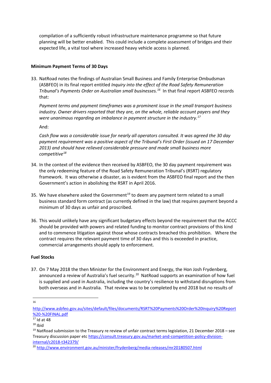compilation of a sufficiently robust infrastructure maintenance programme so that future planning will be better enabled. This could include a complete assessment of bridges and their expected life, a vital tool where increased heavy vehicle access is planned.

# **Minimum Payment Terms of 30 Days**

33. NatRoad notes the findings of Australian Small Business and Family Enterprise Ombudsman (ASBFEO) in its final report entitled *Inquiry into the effect of the Road Safety Remuneration Tribunal's Payments Order on Australian small businesses.[16](#page-6-0)* In that final report ASBFEO records that:

*Payment terms and payment timeframes was a prominent issue in the small transport business industry. Owner drivers reported that they are, on the whole, reliable account payers and they were unanimous regarding an imbalance in payment structure in the industry.[17](#page-6-1)*

And:

*Cash flow was a considerable issue for nearly all operators consulted. It was agreed the 30 day payment requirement was a positive aspect of the Tribunal's First Order (issued on 17 December 2013) and should have relieved considerable pressure and made small business more competitive[18](#page-6-2)*

- 34. In the context of the evidence then received by ASBFEO, the 30 day payment requirement was the only redeeming feature of the Road Safety Remuneration Tribunal's (RSRT) regulatory framework. It was otherwise a disaster, as is evident from the ASBFEO final report and the then Government's action in abolishing the RSRT in April 2016.
- 35. We have elsewhere asked the Government<sup>[19](#page-6-3)</sup> to deem any payment term related to a small business standard form contract (as currently defined in the law) that requires payment beyond a minimum of 30 days as unfair and proscribed.
- 36. This would unlikely have any significant budgetary effects beyond the requirement that the ACCC should be provided with powers and related funding to monitor contract provisions of this kind and to commence litigation against those whose contracts breached this prohibition. Where the contract requires the relevant payment time of 30 days and this is exceeded in practice, commercial arrangements should apply to enforcement.

#### **Fuel Stocks**

37. On 7 May 2018 the then Minister for the Environment and Energy, the Hon Josh Frydenberg, announced a review of Australia's fuel security.<sup>[20](#page-6-4)</sup> NatRoad supports an examination of how fuel is supplied and used in Australia, including the country's resilience to withstand disruptions from both overseas and in Australia. That review was to be completed by end 2018 but no results of

 <sup>16</sup>

<span id="page-6-0"></span>[http://www.asbfeo.gov.au/sites/default/files/documents/RSRT%20Payments%20Order%20Inquiry%20Report](http://www.asbfeo.gov.au/sites/default/files/documents/RSRT%20Payments%20Order%20Inquiry%20Report%20-%20FINAL.pdf) [%20-%20FINAL.pdf](http://www.asbfeo.gov.au/sites/default/files/documents/RSRT%20Payments%20Order%20Inquiry%20Report%20-%20FINAL.pdf)

<span id="page-6-1"></span><sup>17</sup> Id at 48

<span id="page-6-2"></span> $18$  Ibid

<span id="page-6-3"></span> $19$  NatRoad submission to the Treasury re review of unfair contract terms legislation, 21 December 2018 – see Treasury discussion paper etc [https://consult.treasury.gov.au/market-and-competition-policy-division](https://consult.treasury.gov.au/market-and-competition-policy-division-internal/c2018-t342379/)[internal/c2018-t342379/](https://consult.treasury.gov.au/market-and-competition-policy-division-internal/c2018-t342379/)

<span id="page-6-4"></span><sup>20</sup> <http://www.environment.gov.au/minister/frydenberg/media-releases/mr20180507.html>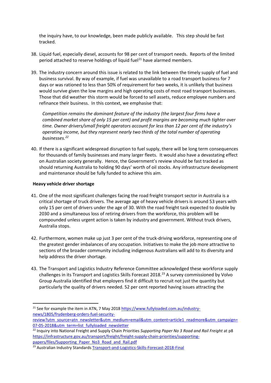the inquiry have, to our knowledge, been made publicly available. This step should be fast tracked.

- 38. Liquid fuel, especially diesel, accounts for 98 per cent of transport needs. Reports of the limited period attached to reserve holdings of liquid fuel<sup>[21](#page-7-0)</sup> have alarmed members.
- 39. The industry concern around this issue is related to the link between the timely supply of fuel and business survival. By way of example, if fuel was unavailable to a road transport business for 7 days or was rationed to less than 50% of requirement for two weeks, it is unlikely that business would survive given the low margins and high operating costs of most road transport businesses. Those that did weather this storm would be forced to sell assets, reduce employee numbers and refinance their business. In this context, we emphasise that:

*Competition remains the dominant feature of the industry (the largest four firms have a combined market share of only 15 per cent) and profit margins are becoming much tighter over time. Owner drivers/small freight operators account for less than 12 per cent of the industry's operating income, but they represent nearly two thirds of the total number of operating businesses. [22](#page-7-1)*

40. If there is a significant widespread disruption to fuel supply, there will be long term consequences for thousands of family businesses and many larger fleets. It would also have a devastating effect on Australian society generally. Hence, the Government's review should be fast tracked as should returning Australia to holding 90 days' worth of oil stocks. Any infrastructure development and maintenance should be fully funded to achieve this aim.

#### **Heavy vehicle driver shortage**

- 41. One of the most significant challenges facing the road freight transport sector in Australia is a critical shortage of truck drivers. The average age of heavy vehicle drivers is around 53 years with only 15 per cent of drivers under the age of 30. With the road freight task expected to double by 2030 and a simultaneous loss of retiring drivers from the workforce, this problem will be compounded unless urgent action is taken by industry and government. Without truck drivers, Australia stops.
- 42. Furthermore, women make up just 3 per cent of the truck-driving workforce, representing one of the greatest gender imbalances of any occupation. Initiatives to make the job more attractive to sections of the broader community including indigenous Australians will add to its diversity and help address the driver shortage.
- 43. The Transport and Logistics Industry Reference Committee acknowledged these workforce supply challenges in its Transport and Logistics Skills Forecast 2018.<sup>[23](#page-7-2)</sup> A survey commissioned by Volvo Group Australia identified that employers find it difficult to recruit not just the quantity but particularly the quality of drivers needed. 52 per cent reported having issues attracting the

<span id="page-7-0"></span><sup>&</sup>lt;sup>21</sup> See for example the item in ATN, 7 May 2018 [https://www.fullyloaded.com.au/industry](https://www.fullyloaded.com.au/industry-news/1805/frydenberg-orders-fuel-security-review?utm_source=atn_newsletter&utm_medium=email&utm_content=article1_readmore&utm_campaign=07-05-2018&utm_term=list_fullyloaded_newsletter)[news/1805/frydenberg-orders-fuel-security-](https://www.fullyloaded.com.au/industry-news/1805/frydenberg-orders-fuel-security-review?utm_source=atn_newsletter&utm_medium=email&utm_content=article1_readmore&utm_campaign=07-05-2018&utm_term=list_fullyloaded_newsletter)

[review?utm\\_source=atn\\_newsletter&utm\\_medium=email&utm\\_content=article1\\_readmore&utm\\_campaign=](https://www.fullyloaded.com.au/industry-news/1805/frydenberg-orders-fuel-security-review?utm_source=atn_newsletter&utm_medium=email&utm_content=article1_readmore&utm_campaign=07-05-2018&utm_term=list_fullyloaded_newsletter) [07-05-2018&utm\\_term=list\\_fullyloaded\\_newsletter](https://www.fullyloaded.com.au/industry-news/1805/frydenberg-orders-fuel-security-review?utm_source=atn_newsletter&utm_medium=email&utm_content=article1_readmore&utm_campaign=07-05-2018&utm_term=list_fullyloaded_newsletter)

<span id="page-7-1"></span><sup>22</sup> Inquiry into National Freight and Supply Chain Priorities *Supporting Paper No 3 Road and Rail Freight* at p8 [https://infrastructure.gov.au/transport/freight/freight-supply-chain-priorities/supporting](https://infrastructure.gov.au/transport/freight/freight-supply-chain-priorities/supporting-papers/files/Supporting_Paper_No3_Road_and_Rail.pdf)[papers/files/Supporting\\_Paper\\_No3\\_Road\\_and\\_Rail.pdf](https://infrastructure.gov.au/transport/freight/freight-supply-chain-priorities/supporting-papers/files/Supporting_Paper_No3_Road_and_Rail.pdf)

<span id="page-7-2"></span><sup>&</sup>lt;sup>23</sup> Australian Industry Standards [Transport-and-Logistics-Skills-Forecast-2018-Final](http://www.australianindustrystandards.org.au/wp-content/uploads/2018/12/Transport-and-Logistics-Skills-Forecast-2018-Final_v2.pdf)